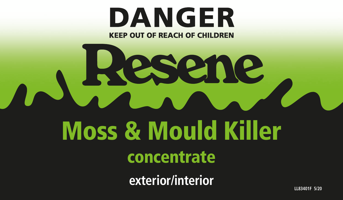# **DANGER KEEP OUT OF REACH OF CHILDREN**

Resene

# Moss & Mould Killer

# concentrate

**exterior/interior**